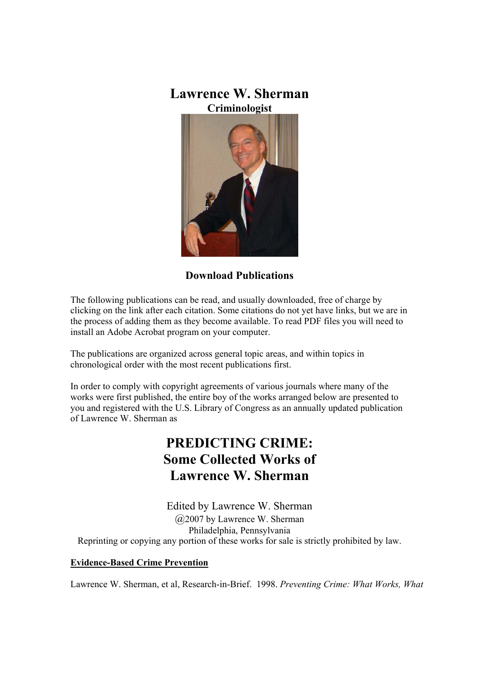## **Lawrence W. Sherman Criminologist**



## **Download Publications**

The following publications can be read, and usually downloaded, free of charge by clicking on the link after each citation. Some citations do not yet have links, but we are in the process of adding them as they become available. To read PDF files you will need to install an Adobe Acrobat program on your computer.

The publications are organized across general topic areas, and within topics in chronological order with the most recent publications first.

In order to comply with copyright agreements of various journals where many of the works were first published, the entire boy of the works arranged below are presented to you and registered with the U.S. Library of Congress as an annually updated publication of Lawrence W. Sherman as

# **PREDICTING CRIME: Some Collected Works of Lawrence W. Sherman**

Edited by Lawrence W. Sherman @2007 by Lawrence W. Sherman Philadelphia, Pennsylvania Reprinting or copying any portion of these works for sale is strictly prohibited by law.

#### **Evidence-Based Crime Prevention**

Lawrence W. Sherman, et al, Research-in-Brief. 1998. *Preventing Crime: What Works, What*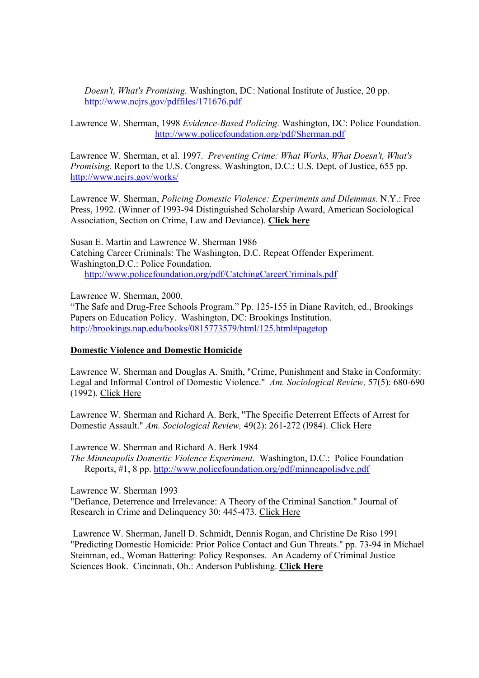*Doesn't, What's Promising.* Washington, DC: National Institute of Justice, 20 pp. http://www.ncjrs.gov/pdffiles/171676.pdf

Lawrence W. Sherman, 1998 *Evidence-Based Policing.* Washington, DC: Police Foundation. http://www.policefoundation.org/pdf/Sherman.pdf

Lawrence W. Sherman, et al. 1997. *Preventing Crime: What Works, What Doesn't, What's Promising*. Report to the U.S. Congress. Washington, D.C.: U.S. Dept. of Justice, 655 pp. http://www.ncjrs.gov/works/

Lawrence W. Sherman, *Policing Domestic Violence: Experiments and Dilemmas*. N.Y.: Free Press, 1992. (Winner of 1993-94 Distinguished Scholarship Award, American Sociological Association, Section on Crime, Law and Deviance). **Click here**

Susan E. Martin and Lawrence W. Sherman 1986 Catching Career Criminals: The Washington, D.C. Repeat Offender Experiment. Washington,D.C.: Police Foundation. http://www.policefoundation.org/pdf/CatchingCareerCriminals.pdf

Lawrence W. Sherman, 2000.

"The Safe and Drug-Free Schools Program." Pp. 125-155 in Diane Ravitch, ed., Brookings Papers on Education Policy. Washington, DC: Brookings Institution. http://brookings.nap.edu/books/0815773579/html/125.html#pagetop

#### **Domestic Violence and Domestic Homicide**

Lawrence W. Sherman and Douglas A. Smith, "Crime, Punishment and Stake in Conformity: Legal and Informal Control of Domestic Violence." *Am. Sociological Review,* 57(5): 680-690 (1992). Click Here

Lawrence W. Sherman and Richard A. Berk, "The Specific Deterrent Effects of Arrest for Domestic Assault." *Am. Sociological Review,* 49(2): 261-272 (l984). Click Here

Lawrence W. Sherman and Richard A. Berk 1984

*The Minneapolis Domestic Violence Experiment*. Washington, D.C.: Police Foundation Reports, #1, 8 pp. http://www.policefoundation.org/pdf/minneapolisdve.pdf

Lawrence W. Sherman 1993

"Defiance, Deterrence and Irrelevance: A Theory of the Criminal Sanction." Journal of Research in Crime and Delinquency 30: 445-473. Click Here

 Lawrence W. Sherman, Janell D. Schmidt, Dennis Rogan, and Christine De Riso 1991 "Predicting Domestic Homicide: Prior Police Contact and Gun Threats." pp. 73-94 in Michael Steinman, ed., Woman Battering: Policy Responses. An Academy of Criminal Justice Sciences Book. Cincinnati, Oh.: Anderson Publishing. **Click Here**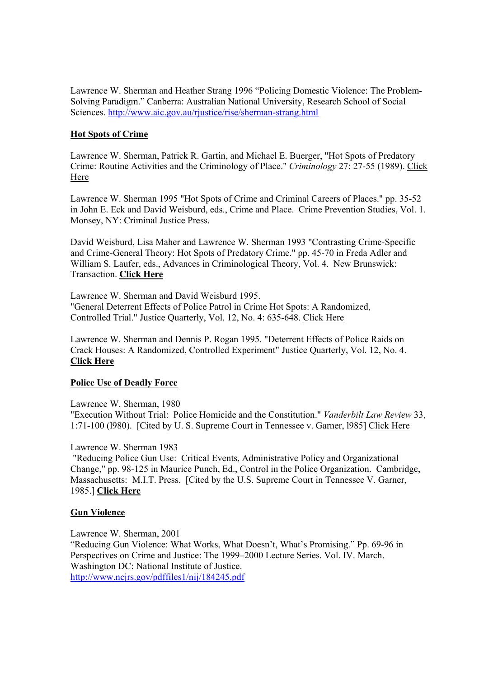Lawrence W. Sherman and Heather Strang 1996 "Policing Domestic Violence: The Problem-Solving Paradigm." Canberra: Australian National University, Research School of Social Sciences. http://www.aic.gov.au/rjustice/rise/sherman-strang.html

### **Hot Spots of Crime**

Lawrence W. Sherman, Patrick R. Gartin, and Michael E. Buerger, "Hot Spots of Predatory Crime: Routine Activities and the Criminology of Place." *Criminology* 27: 27-55 (1989). Click Here

Lawrence W. Sherman 1995 "Hot Spots of Crime and Criminal Careers of Places." pp. 35-52 in John E. Eck and David Weisburd, eds., Crime and Place. Crime Prevention Studies, Vol. 1. Monsey, NY: Criminal Justice Press.

David Weisburd, Lisa Maher and Lawrence W. Sherman 1993 "Contrasting Crime-Specific and Crime-General Theory: Hot Spots of Predatory Crime." pp. 45-70 in Freda Adler and William S. Laufer, eds., Advances in Criminological Theory, Vol. 4. New Brunswick: Transaction. **Click Here**

Lawrence W. Sherman and David Weisburd 1995. "General Deterrent Effects of Police Patrol in Crime Hot Spots: A Randomized, Controlled Trial." Justice Quarterly, Vol. 12, No. 4: 635-648. Click Here

Lawrence W. Sherman and Dennis P. Rogan 1995. "Deterrent Effects of Police Raids on Crack Houses: A Randomized, Controlled Experiment" Justice Quarterly, Vol. 12, No. 4. **Click Here**

#### **Police Use of Deadly Force**

Lawrence W. Sherman, 1980

"Execution Without Trial: Police Homicide and the Constitution." *Vanderbilt Law Review* 33, 1:71-100 (l980). [Cited by U. S. Supreme Court in Tennessee v. Garner, l985] Click Here

#### Lawrence W. Sherman 1983

 "Reducing Police Gun Use: Critical Events, Administrative Policy and Organizational Change," pp. 98-125 in Maurice Punch, Ed., Control in the Police Organization. Cambridge, Massachusetts: M.I.T. Press. [Cited by the U.S. Supreme Court in Tennessee V. Garner, 1985.] **Click Here**

#### **Gun Violence**

Lawrence W. Sherman, 2001

"Reducing Gun Violence: What Works, What Doesn't, What's Promising." Pp. 69-96 in Perspectives on Crime and Justice: The 1999–2000 Lecture Series. Vol. IV. March. Washington DC: National Institute of Justice. http://www.ncjrs.gov/pdffiles1/nij/184245.pdf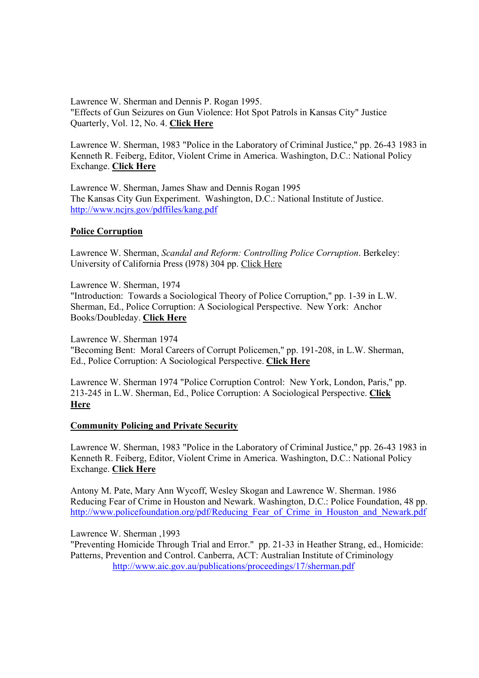Lawrence W. Sherman and Dennis P. Rogan 1995. "Effects of Gun Seizures on Gun Violence: Hot Spot Patrols in Kansas City" Justice Quarterly, Vol. 12, No. 4. **Click Here**

Lawrence W. Sherman, 1983 "Police in the Laboratory of Criminal Justice," pp. 26-43 1983 in Kenneth R. Feiberg, Editor, Violent Crime in America. Washington, D.C.: National Policy Exchange. **Click Here**

Lawrence W. Sherman, James Shaw and Dennis Rogan 1995 The Kansas City Gun Experiment. Washington, D.C.: National Institute of Justice. http://www.ncjrs.gov/pdffiles/kang.pdf

#### **Police Corruption**

Lawrence W. Sherman, *Scandal and Reform: Controlling Police Corruption*. Berkeley: University of California Press (l978) 304 pp. Click Here

Lawrence W. Sherman, 1974 "Introduction: Towards a Sociological Theory of Police Corruption," pp. 1-39 in L.W. Sherman, Ed., Police Corruption: A Sociological Perspective. New York: Anchor Books/Doubleday. **Click Here**

Lawrence W. Sherman 1974 "Becoming Bent: Moral Careers of Corrupt Policemen," pp. 191-208, in L.W. Sherman, Ed., Police Corruption: A Sociological Perspective. **Click Here** 

Lawrence W. Sherman 1974 "Police Corruption Control: New York, London, Paris," pp. 213-245 in L.W. Sherman, Ed., Police Corruption: A Sociological Perspective. **Click Here**

#### **Community Policing and Private Security**

Lawrence W. Sherman, 1983 "Police in the Laboratory of Criminal Justice," pp. 26-43 1983 in Kenneth R. Feiberg, Editor, Violent Crime in America. Washington, D.C.: National Policy Exchange. **Click Here**

Antony M. Pate, Mary Ann Wycoff, Wesley Skogan and Lawrence W. Sherman. 1986 Reducing Fear of Crime in Houston and Newark. Washington, D.C.: Police Foundation, 48 pp. http://www.policefoundation.org/pdf/Reducing Fear of Crime in Houston and Newark.pdf

#### Lawrence W. Sherman ,1993

"Preventing Homicide Through Trial and Error." pp. 21-33 in Heather Strang, ed., Homicide: Patterns, Prevention and Control. Canberra, ACT: Australian Institute of Criminology http://www.aic.gov.au/publications/proceedings/17/sherman.pdf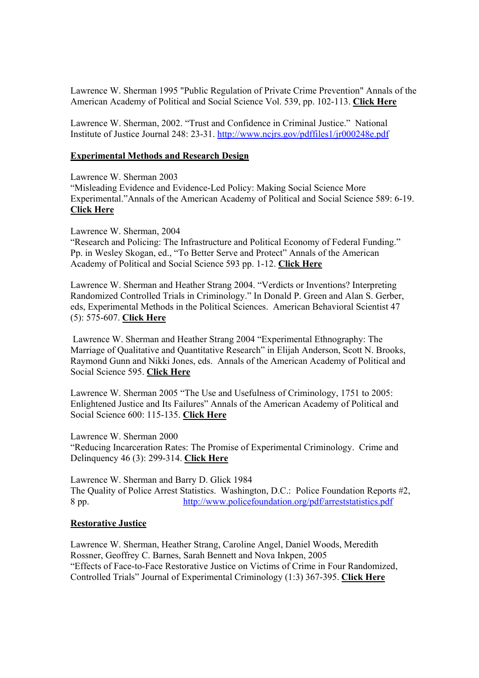Lawrence W. Sherman 1995 "Public Regulation of Private Crime Prevention" Annals of the American Academy of Political and Social Science Vol. 539, pp. 102-113. **Click Here**

Lawrence W. Sherman, 2002. "Trust and Confidence in Criminal Justice." National Institute of Justice Journal 248: 23-31. http://www.ncjrs.gov/pdffiles1/jr000248e.pdf

#### **Experimental Methods and Research Design**

Lawrence W. Sherman 2003 "Misleading Evidence and Evidence-Led Policy: Making Social Science More Experimental."Annals of the American Academy of Political and Social Science 589: 6-19. **Click Here**

Lawrence W. Sherman, 2004

"Research and Policing: The Infrastructure and Political Economy of Federal Funding." Pp. in Wesley Skogan, ed., "To Better Serve and Protect" Annals of the American Academy of Political and Social Science 593 pp. 1-12. **Click Here**

Lawrence W. Sherman and Heather Strang 2004. "Verdicts or Inventions? Interpreting Randomized Controlled Trials in Criminology." In Donald P. Green and Alan S. Gerber, eds, Experimental Methods in the Political Sciences. American Behavioral Scientist 47 (5): 575-607. **Click Here**

 Lawrence W. Sherman and Heather Strang 2004 "Experimental Ethnography: The Marriage of Qualitative and Quantitative Research" in Elijah Anderson, Scott N. Brooks, Raymond Gunn and Nikki Jones, eds. Annals of the American Academy of Political and Social Science 595. **Click Here**

Lawrence W. Sherman 2005 "The Use and Usefulness of Criminology, 1751 to 2005: Enlightened Justice and Its Failures" Annals of the American Academy of Political and Social Science 600: 115-135. **Click Here**

Lawrence W. Sherman 2000 "Reducing Incarceration Rates: The Promise of Experimental Criminology. Crime and Delinquency 46 (3): 299-314. **Click Here**

Lawrence W. Sherman and Barry D. Glick 1984 The Quality of Police Arrest Statistics. Washington, D.C.: Police Foundation Reports #2, 8 pp. http://www.policefoundation.org/pdf/arreststatistics.pdf

#### **Restorative Justice**

Lawrence W. Sherman, Heather Strang, Caroline Angel, Daniel Woods, Meredith Rossner, Geoffrey C. Barnes, Sarah Bennett and Nova Inkpen, 2005 "Effects of Face-to-Face Restorative Justice on Victims of Crime in Four Randomized, Controlled Trials" Journal of Experimental Criminology (1:3) 367-395. **Click Here**